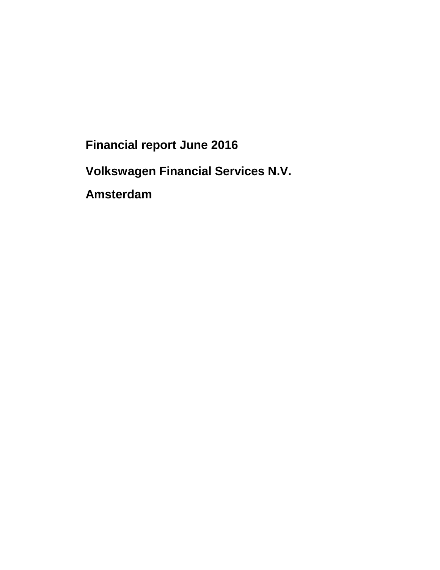**Financial report June 2016** 

**Volkswagen Financial Services N.V.** 

**Amsterdam**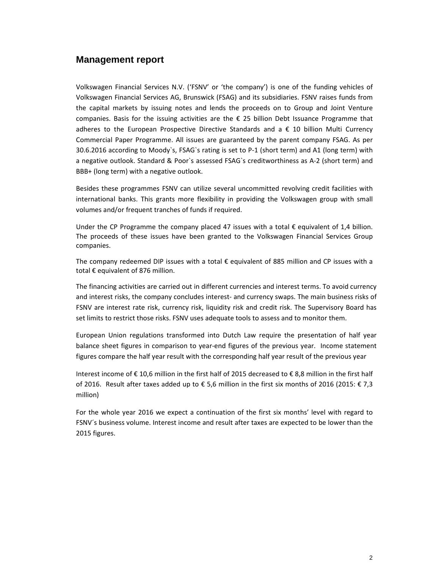#### **Management report**

Volkswagen Financial Services N.V. ('FSNV' or 'the company') is one of the funding vehicles of Volkswagen Financial Services AG, Brunswick (FSAG) and its subsidiaries. FSNV raises funds from the capital markets by issuing notes and lends the proceeds on to Group and Joint Venture companies. Basis for the issuing activities are the  $\epsilon$  25 billion Debt Issuance Programme that adheres to the European Prospective Directive Standards and  $a \in \{10\}$  billion Multi Currency Commercial Paper Programme. All issues are guaranteed by the parent company FSAG. As per 30.6.2016 according to Moody`s, FSAG`s rating is set to P-1 (short term) and A1 (long term) with a negative outlook. Standard & Poor`s assessed FSAG`s creditworthiness as A-2 (short term) and BBB+ (long term) with a negative outlook.

Besides these programmes FSNV can utilize several uncommitted revolving credit facilities with international banks. This grants more flexibility in providing the Volkswagen group with small volumes and/or frequent tranches of funds if required.

Under the CP Programme the company placed 47 issues with a total € equivalent of 1,4 billion. The proceeds of these issues have been granted to the Volkswagen Financial Services Group companies.

The company redeemed DIP issues with a total € equivalent of 885 million and CP issues with a total € equivalent of 876 million.

The financing activities are carried out in different currencies and interest terms. To avoid currency and interest risks, the company concludes interest- and currency swaps. The main business risks of FSNV are interest rate risk, currency risk, liquidity risk and credit risk. The Supervisory Board has set limits to restrict those risks. FSNV uses adequate tools to assess and to monitor them.

European Union regulations transformed into Dutch Law require the presentation of half year balance sheet figures in comparison to year-end figures of the previous year. Income statement figures compare the half year result with the corresponding half year result of the previous year

Interest income of € 10,6 million in the first half of 2015 decreased to € 8,8 million in the first half of 2016. Result after taxes added up to € 5,6 million in the first six months of 2016 (2015: € 7,3 million)

For the whole year 2016 we expect a continuation of the first six months' level with regard to FSNV´s business volume. Interest income and result after taxes are expected to be lower than the 2015 figures.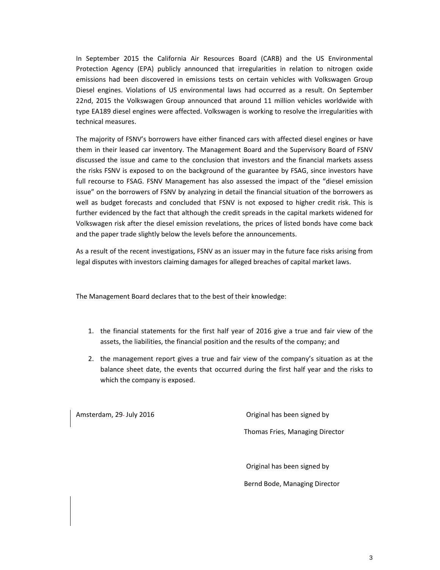In September 2015 the California Air Resources Board (CARB) and the US Environmental Protection Agency (EPA) publicly announced that irregularities in relation to nitrogen oxide emissions had been discovered in emissions tests on certain vehicles with Volkswagen Group Diesel engines. Violations of US environmental laws had occurred as a result. On September 22nd, 2015 the Volkswagen Group announced that around 11 million vehicles worldwide with type EA189 diesel engines were affected. Volkswagen is working to resolve the irregularities with technical measures.

The majority of FSNV's borrowers have either financed cars with affected diesel engines or have them in their leased car inventory. The Management Board and the Supervisory Board of FSNV discussed the issue and came to the conclusion that investors and the financial markets assess the risks FSNV is exposed to on the background of the guarantee by FSAG, since investors have full recourse to FSAG. FSNV Management has also assessed the impact of the "diesel emission issue" on the borrowers of FSNV by analyzing in detail the financial situation of the borrowers as well as budget forecasts and concluded that FSNV is not exposed to higher credit risk. This is further evidenced by the fact that although the credit spreads in the capital markets widened for Volkswagen risk after the diesel emission revelations, the prices of listed bonds have come back and the paper trade slightly below the levels before the announcements.

As a result of the recent investigations, FSNV as an issuer may in the future face risks arising from legal disputes with investors claiming damages for alleged breaches of capital market laws.

The Management Board declares that to the best of their knowledge:

- 1. the financial statements for the first half year of 2016 give a true and fair view of the assets, the liabilities, the financial position and the results of the company; and
- 2. the management report gives a true and fair view of the company's situation as at the balance sheet date, the events that occurred during the first half year and the risks to which the company is exposed.

Amsterdam, 29- July 2016 **Amsterdam**, 29- July 2016 Thomas Fries, Managing Director

Original has been signed by

Bernd Bode, Managing Director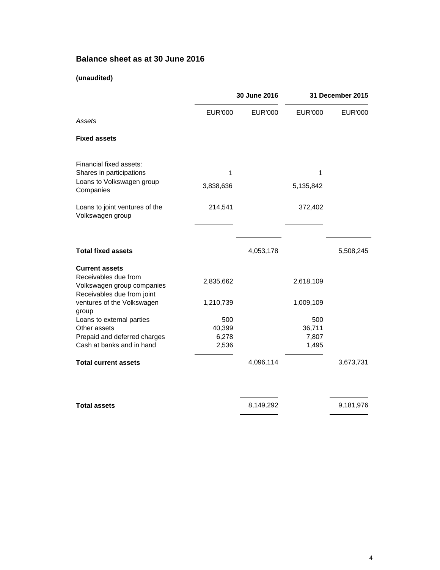# **Balance sheet as at 30 June 2016**

### **(unaudited)**

|                                                                                                           |                                 | 30 June 2016   |                                 | 31 December 2015 |  |
|-----------------------------------------------------------------------------------------------------------|---------------------------------|----------------|---------------------------------|------------------|--|
| Assets                                                                                                    | EUR'000                         | <b>EUR'000</b> | <b>EUR'000</b>                  | <b>EUR'000</b>   |  |
| <b>Fixed assets</b>                                                                                       |                                 |                |                                 |                  |  |
| Financial fixed assets:<br>Shares in participations                                                       | 1                               |                | 1                               |                  |  |
| Loans to Volkswagen group<br>Companies                                                                    | 3,838,636                       |                | 5,135,842                       |                  |  |
| Loans to joint ventures of the<br>Volkswagen group                                                        | 214,541                         |                | 372,402                         |                  |  |
| <b>Total fixed assets</b>                                                                                 |                                 | 4,053,178      |                                 | 5,508,245        |  |
| <b>Current assets</b><br>Receivables due from<br>Volkswagen group companies<br>Receivables due from joint | 2,835,662                       |                | 2,618,109                       |                  |  |
| ventures of the Volkswagen<br>group                                                                       | 1,210,739                       |                | 1,009,109                       |                  |  |
| Loans to external parties<br>Other assets<br>Prepaid and deferred charges<br>Cash at banks and in hand    | 500<br>40,399<br>6,278<br>2,536 |                | 500<br>36,711<br>7,807<br>1,495 |                  |  |
| <b>Total current assets</b>                                                                               |                                 | 4,096,114      |                                 | 3,673,731        |  |
| <b>Total assets</b>                                                                                       |                                 | 8,149,292      |                                 | 9,181,976        |  |
|                                                                                                           |                                 |                |                                 |                  |  |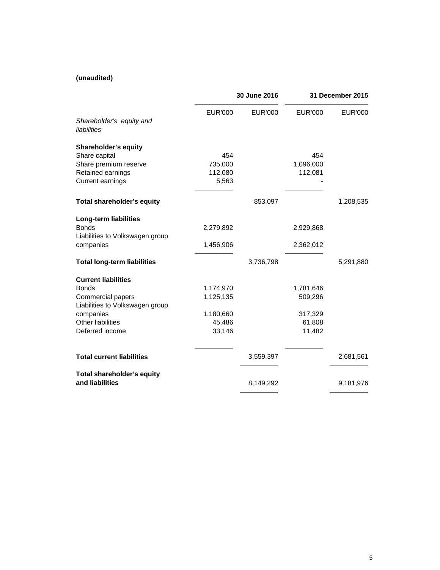### **(unaudited)**

|                                                                                                                                                         | 30 June 2016                                            |                | 31 December 2015                                    |                |
|---------------------------------------------------------------------------------------------------------------------------------------------------------|---------------------------------------------------------|----------------|-----------------------------------------------------|----------------|
| Shareholder's equity and<br>liabilities                                                                                                                 | <b>EUR'000</b>                                          | <b>EUR'000</b> | <b>EUR'000</b>                                      | <b>EUR'000</b> |
| <b>Shareholder's equity</b><br>Share capital<br>Share premium reserve<br>Retained earnings<br>Current earnings                                          | 454<br>735,000<br>112,080<br>5,563                      |                | 454<br>1,096,000<br>112,081                         |                |
| Total shareholder's equity                                                                                                                              |                                                         | 853,097        |                                                     | 1,208,535      |
| <b>Long-term liabilities</b><br><b>Bonds</b><br>Liabilities to Volkswagen group<br>companies                                                            | 2,279,892<br>1,456,906                                  |                | 2,929,868<br>2,362,012                              |                |
| <b>Total long-term liabilities</b>                                                                                                                      |                                                         | 3,736,798      |                                                     | 5,291,880      |
| <b>Current liabilities</b><br><b>Bonds</b><br>Commercial papers<br>Liabilities to Volkswagen group<br>companies<br>Other liabilities<br>Deferred income | 1,174,970<br>1,125,135<br>1,180,660<br>45,486<br>33,146 |                | 1,781,646<br>509,296<br>317,329<br>61,808<br>11,482 |                |
| <b>Total current liabilities</b>                                                                                                                        |                                                         | 3,559,397      |                                                     | 2,681,561      |
| Total shareholder's equity<br>and liabilities                                                                                                           |                                                         | 8,149,292      |                                                     | 9,181,976      |